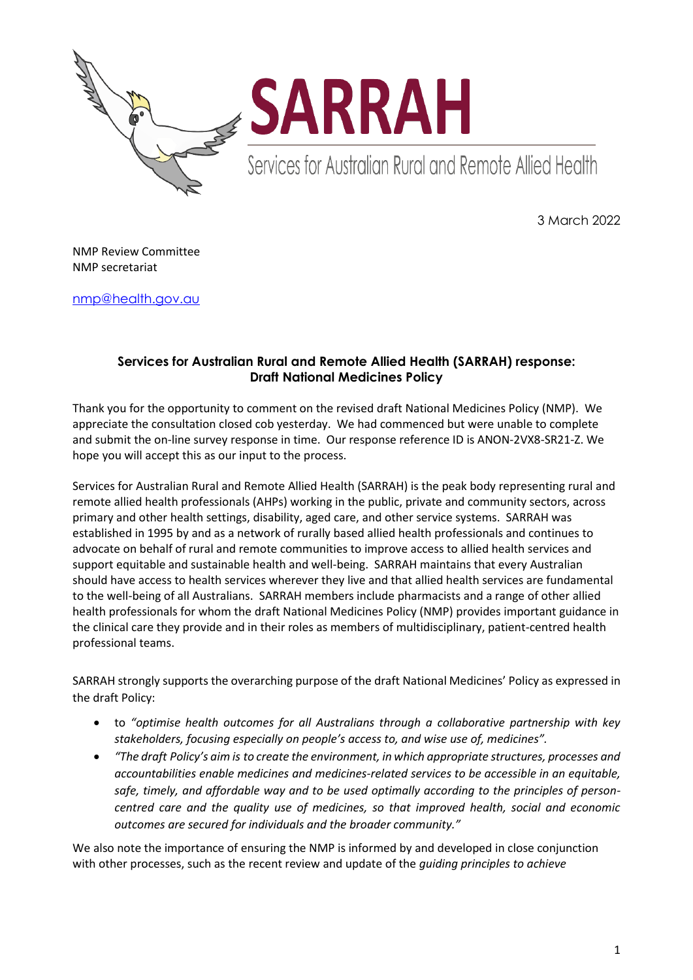



Services for Australian Rural and Remote Allied Health

3 March 2022

NMP Review Committee NMP secretariat

[nmp@health.gov.au](mailto:nmp@health.gov.au)

# **Services for Australian Rural and Remote Allied Health (SARRAH) response: Draft National Medicines Policy**

Thank you for the opportunity to comment on the revised draft National Medicines Policy (NMP). We appreciate the consultation closed cob yesterday. We had commenced but were unable to complete and submit the on-line survey response in time. Our response reference ID is ANON-2VX8-SR21-Z. We hope you will accept this as our input to the process.

Services for Australian Rural and Remote Allied Health (SARRAH) is the peak body representing rural and remote allied health professionals (AHPs) working in the public, private and community sectors, across primary and other health settings, disability, aged care, and other service systems. SARRAH was established in 1995 by and as a network of rurally based allied health professionals and continues to advocate on behalf of rural and remote communities to improve access to allied health services and support equitable and sustainable health and well-being. SARRAH maintains that every Australian should have access to health services wherever they live and that allied health services are fundamental to the well-being of all Australians. SARRAH members include pharmacists and a range of other allied health professionals for whom the draft National Medicines Policy (NMP) provides important guidance in the clinical care they provide and in their roles as members of multidisciplinary, patient-centred health professional teams.

SARRAH strongly supports the overarching purpose of the draft National Medicines' Policy as expressed in the draft Policy:

- to *"optimise health outcomes for all Australians through a collaborative partnership with key stakeholders, focusing especially on people's access to, and wise use of, medicines".*
- *"The draft Policy's aim is to create the environment, in which appropriate structures, processes and accountabilities enable medicines and medicines-related services to be accessible in an equitable, safe, timely, and affordable way and to be used optimally according to the principles of personcentred care and the quality use of medicines, so that improved health, social and economic outcomes are secured for individuals and the broader community."*

We also note the importance of ensuring the NMP is informed by and developed in close conjunction with other processes, such as the recent review and update of the *guiding principles to achieve*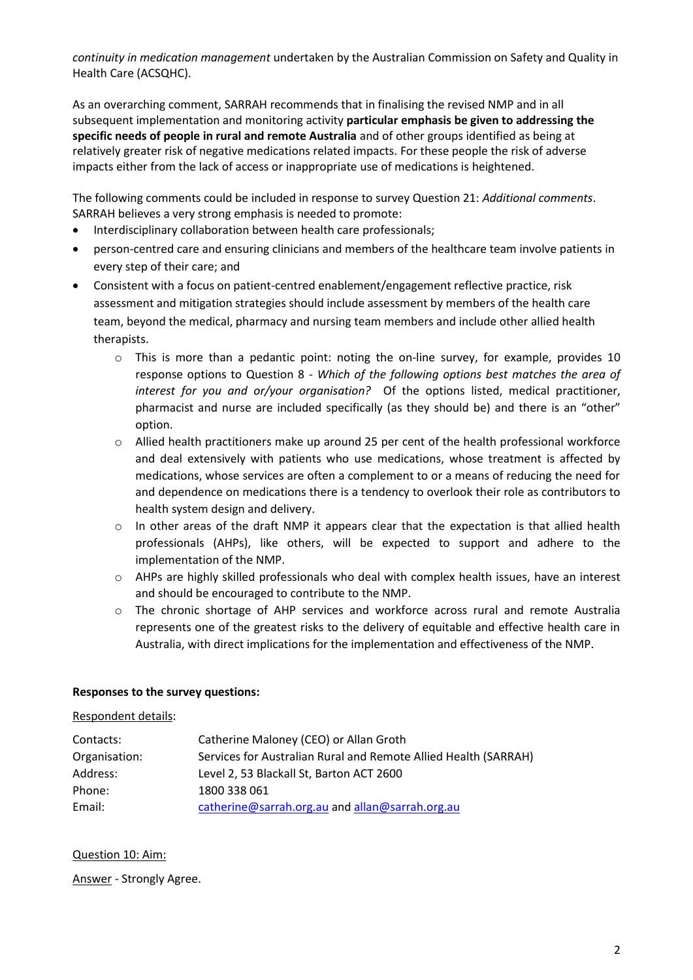*continuity in medication management* undertaken by the Australian Commission on Safety and Quality in Health Care (ACSQHC).

As an overarching comment, SARRAH recommends that in finalising the revised NMP and in all subsequent implementation and monitoring activity **particular emphasis be given to addressing the specific needs of people in rural and remote Australia** and of other groups identified as being at relatively greater risk of negative medications related impacts. For these people the risk of adverse impacts either from the lack of access or inappropriate use of medications is heightened.

The following comments could be included in response to survey Question 21: *Additional comments*. SARRAH believes a very strong emphasis is needed to promote:

- Interdisciplinary collaboration between health care professionals;
- person-centred care and ensuring clinicians and members of the healthcare team involve patients in every step of their care; and
- Consistent with a focus on patient-centred enablement/engagement reflective practice, risk assessment and mitigation strategies should include assessment by members of the health care team, beyond the medical, pharmacy and nursing team members and include other allied health therapists.
	- $\circ$  This is more than a pedantic point: noting the on-line survey, for example, provides 10 response options to Question 8 - *Which of the following options best matches the area of interest for you and or/your organisation?* Of the options listed, medical practitioner, pharmacist and nurse are included specifically (as they should be) and there is an "other" option.
	- o Allied health practitioners make up around 25 per cent of the health professional workforce and deal extensively with patients who use medications, whose treatment is affected by medications, whose services are often a complement to or a means of reducing the need for and dependence on medications there is a tendency to overlook their role as contributors to health system design and delivery.
	- $\circ$  In other areas of the draft NMP it appears clear that the expectation is that allied health professionals (AHPs), like others, will be expected to support and adhere to the implementation of the NMP.
	- o AHPs are highly skilled professionals who deal with complex health issues, have an interest and should be encouraged to contribute to the NMP.
	- o The chronic shortage of AHP services and workforce across rural and remote Australia represents one of the greatest risks to the delivery of equitable and effective health care in Australia, with direct implications for the implementation and effectiveness of the NMP.

## **Responses to the survey questions:**

## Respondent details:

| Contacts:     | Catherine Maloney (CEO) or Allan Groth                          |
|---------------|-----------------------------------------------------------------|
| Organisation: | Services for Australian Rural and Remote Allied Health (SARRAH) |
| Address:      | Level 2, 53 Blackall St, Barton ACT 2600                        |
| Phone:        | 1800 338 061                                                    |
| Email:        | catherine@sarrah.org.au and allan@sarrah.org.au                 |

## Question 10: Aim:

Answer - Strongly Agree.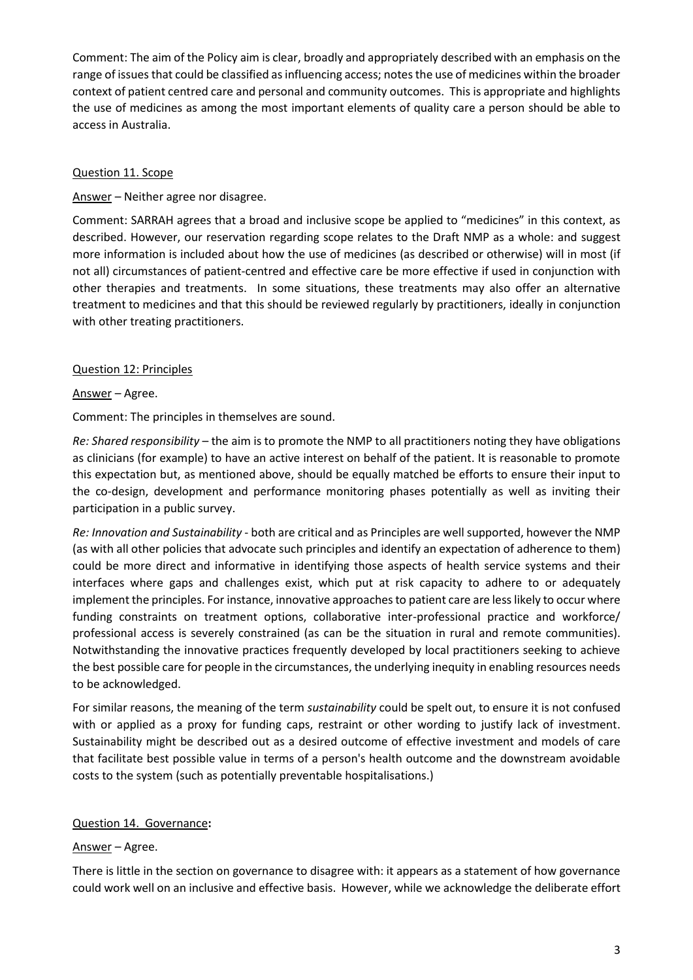Comment: The aim of the Policy aim is clear, broadly and appropriately described with an emphasis on the range of issues that could be classified as influencing access; notes the use of medicines within the broader context of patient centred care and personal and community outcomes. This is appropriate and highlights the use of medicines as among the most important elements of quality care a person should be able to access in Australia.

## Question 11. Scope

Answer – Neither agree nor disagree.

Comment: SARRAH agrees that a broad and inclusive scope be applied to "medicines" in this context, as described. However, our reservation regarding scope relates to the Draft NMP as a whole: and suggest more information is included about how the use of medicines (as described or otherwise) will in most (if not all) circumstances of patient-centred and effective care be more effective if used in conjunction with other therapies and treatments. In some situations, these treatments may also offer an alternative treatment to medicines and that this should be reviewed regularly by practitioners, ideally in conjunction with other treating practitioners.

## Question 12: Principles

Answer – Agree.

Comment: The principles in themselves are sound.

*Re: Shared responsibility* – the aim is to promote the NMP to all practitioners noting they have obligations as clinicians (for example) to have an active interest on behalf of the patient. It is reasonable to promote this expectation but, as mentioned above, should be equally matched be efforts to ensure their input to the co-design, development and performance monitoring phases potentially as well as inviting their participation in a public survey.

*Re: Innovation and Sustainability* - both are critical and as Principles are well supported, however the NMP (as with all other policies that advocate such principles and identify an expectation of adherence to them) could be more direct and informative in identifying those aspects of health service systems and their interfaces where gaps and challenges exist, which put at risk capacity to adhere to or adequately implement the principles. For instance, innovative approaches to patient care are less likely to occur where funding constraints on treatment options, collaborative inter-professional practice and workforce/ professional access is severely constrained (as can be the situation in rural and remote communities). Notwithstanding the innovative practices frequently developed by local practitioners seeking to achieve the best possible care for people in the circumstances, the underlying inequity in enabling resources needs to be acknowledged.

For similar reasons, the meaning of the term *sustainability* could be spelt out, to ensure it is not confused with or applied as a proxy for funding caps, restraint or other wording to justify lack of investment. Sustainability might be described out as a desired outcome of effective investment and models of care that facilitate best possible value in terms of a person's health outcome and the downstream avoidable costs to the system (such as potentially preventable hospitalisations.)

## Question 14. Governance**:**

## Answer – Agree.

There is little in the section on governance to disagree with: it appears as a statement of how governance could work well on an inclusive and effective basis. However, while we acknowledge the deliberate effort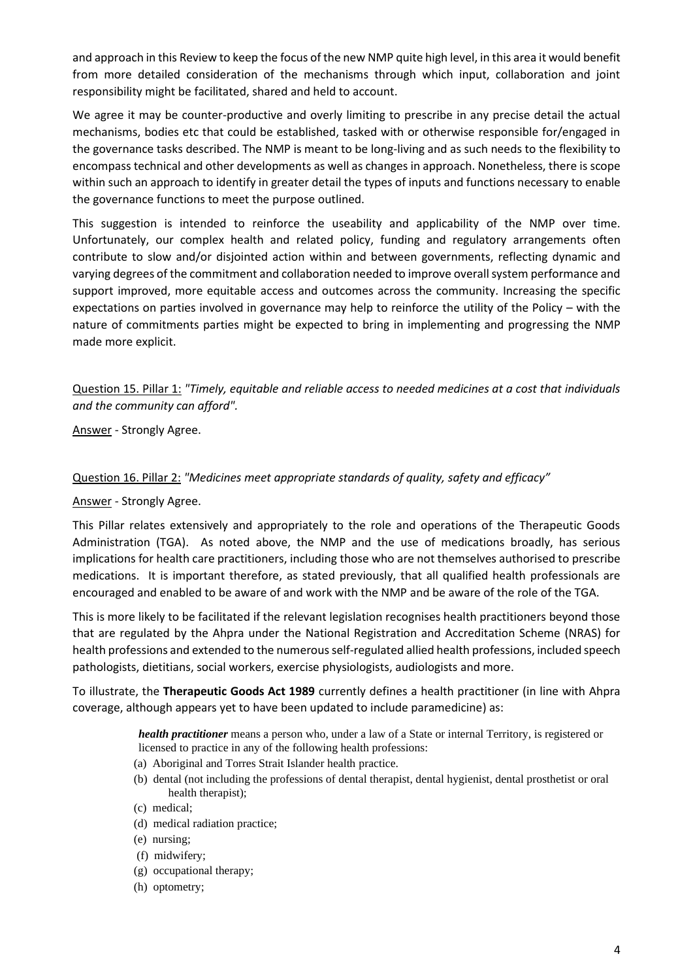and approach in this Review to keep the focus of the new NMP quite high level, in this area it would benefit from more detailed consideration of the mechanisms through which input, collaboration and joint responsibility might be facilitated, shared and held to account.

We agree it may be counter-productive and overly limiting to prescribe in any precise detail the actual mechanisms, bodies etc that could be established, tasked with or otherwise responsible for/engaged in the governance tasks described. The NMP is meant to be long-living and as such needs to the flexibility to encompass technical and other developments as well as changes in approach. Nonetheless, there is scope within such an approach to identify in greater detail the types of inputs and functions necessary to enable the governance functions to meet the purpose outlined.

This suggestion is intended to reinforce the useability and applicability of the NMP over time. Unfortunately, our complex health and related policy, funding and regulatory arrangements often contribute to slow and/or disjointed action within and between governments, reflecting dynamic and varying degrees of the commitment and collaboration needed to improve overall system performance and support improved, more equitable access and outcomes across the community. Increasing the specific expectations on parties involved in governance may help to reinforce the utility of the Policy – with the nature of commitments parties might be expected to bring in implementing and progressing the NMP made more explicit.

Question 15. Pillar 1: *"Timely, equitable and reliable access to needed medicines at a cost that individuals and the community can afford".*

Answer - Strongly Agree.

#### Question 16. Pillar 2: *"Medicines meet appropriate standards of quality, safety and efficacy"*

#### Answer - Strongly Agree.

This Pillar relates extensively and appropriately to the role and operations of the Therapeutic Goods Administration (TGA). As noted above, the NMP and the use of medications broadly, has serious implications for health care practitioners, including those who are not themselves authorised to prescribe medications. It is important therefore, as stated previously, that all qualified health professionals are encouraged and enabled to be aware of and work with the NMP and be aware of the role of the TGA.

This is more likely to be facilitated if the relevant legislation recognises health practitioners beyond those that are regulated by the Ahpra under the National Registration and Accreditation Scheme (NRAS) for health professions and extended to the numerous self-regulated allied health professions, included speech pathologists, dietitians, social workers, exercise physiologists, audiologists and more.

To illustrate, the **Therapeutic Goods Act 1989** currently defines a health practitioner (in line with Ahpra coverage, although appears yet to have been updated to include paramedicine) as:

> *health practitioner* means a person who, under a law of a State or internal Territory, is registered or licensed to practice in any of the following health professions:

- (a) Aboriginal and Torres Strait Islander health practice.
- (b) dental (not including the professions of dental therapist, dental hygienist, dental prosthetist or oral health therapist);
- (c) medical;
- (d) medical radiation practice;
- (e) nursing;
- (f) midwifery;
- (g) occupational therapy;
- (h) optometry;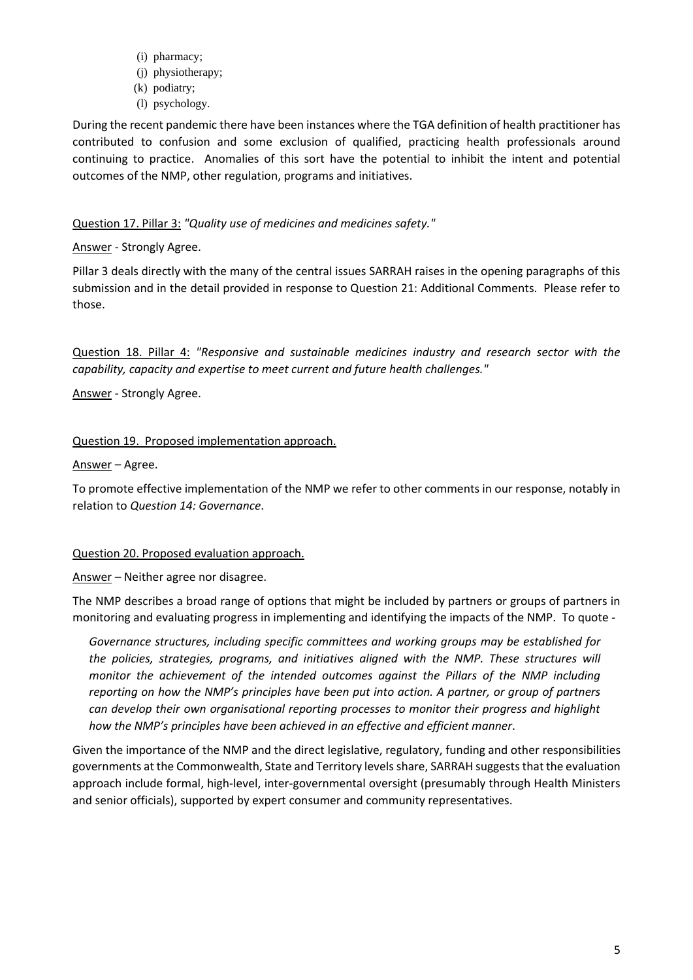- (i) pharmacy;
- (j) physiotherapy;
- (k) podiatry;
- (l) psychology.

During the recent pandemic there have been instances where the TGA definition of health practitioner has contributed to confusion and some exclusion of qualified, practicing health professionals around continuing to practice. Anomalies of this sort have the potential to inhibit the intent and potential outcomes of the NMP, other regulation, programs and initiatives.

# Question 17. Pillar 3: *"Quality use of medicines and medicines safety."*

# Answer - Strongly Agree.

Pillar 3 deals directly with the many of the central issues SARRAH raises in the opening paragraphs of this submission and in the detail provided in response to Question 21: Additional Comments. Please refer to those.

Question 18. Pillar 4: *"Responsive and sustainable medicines industry and research sector with the capability, capacity and expertise to meet current and future health challenges."*

Answer - Strongly Agree.

# Question 19. Proposed implementation approach.

Answer – Agree.

To promote effective implementation of the NMP we refer to other comments in our response, notably in relation to *Question 14: Governance*.

## Question 20. Proposed evaluation approach.

Answer – Neither agree nor disagree.

The NMP describes a broad range of options that might be included by partners or groups of partners in monitoring and evaluating progress in implementing and identifying the impacts of the NMP. To quote -

*Governance structures, including specific committees and working groups may be established for the policies, strategies, programs, and initiatives aligned with the NMP. These structures will monitor the achievement of the intended outcomes against the Pillars of the NMP including reporting on how the NMP's principles have been put into action. A partner, or group of partners can develop their own organisational reporting processes to monitor their progress and highlight how the NMP's principles have been achieved in an effective and efficient manner*.

Given the importance of the NMP and the direct legislative, regulatory, funding and other responsibilities governments at the Commonwealth, State and Territory levels share, SARRAH suggests that the evaluation approach include formal, high-level, inter-governmental oversight (presumably through Health Ministers and senior officials), supported by expert consumer and community representatives.